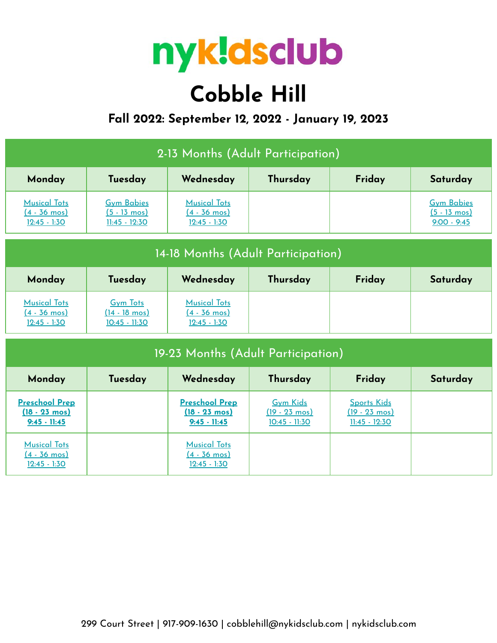

# **Cobble Hill**

## **Fall 2022: September 12, 2022 - January 19, 2023**

| 2-13 Months (Adult Participation)                                  |                                                                |                                                                    |                                                               |                                                                  |                                                              |  |  |
|--------------------------------------------------------------------|----------------------------------------------------------------|--------------------------------------------------------------------|---------------------------------------------------------------|------------------------------------------------------------------|--------------------------------------------------------------|--|--|
| Monday                                                             | Tuesday                                                        | Wednesday                                                          | Thursday                                                      | Friday                                                           | Saturday                                                     |  |  |
| <b>Musical Tots</b><br>$(4 - 36 \text{ mos})$<br>$12:45 - 1:30$    | <b>Gym Babies</b><br>$(5 - 13 \text{ mos})$<br>$11:45 - 12:30$ | <b>Musical Tots</b><br>$(4 - 36 \text{ mos})$<br>$12:45 - 1:30$    |                                                               |                                                                  | <b>Gym Babies</b><br>$(5 - 13 \text{ mos})$<br>$9:00 - 9:45$ |  |  |
| 14-18 Months (Adult Participation)                                 |                                                                |                                                                    |                                                               |                                                                  |                                                              |  |  |
| Monday                                                             | Tuesday                                                        | Wednesday                                                          | Thursday                                                      | Friday                                                           | Saturday                                                     |  |  |
| <b>Musical Tots</b><br>$(4 - 36 \text{ mos})$<br>$12:45 - 1:30$    | <b>Gym Tots</b><br>$(14 - 18 \text{ mos})$<br>$10:45 - 11:30$  | <b>Musical Tots</b><br>$(4 - 36 \text{ mos})$<br>$12:45 - 1:30$    |                                                               |                                                                  |                                                              |  |  |
| 19-23 Months (Adult Participation)                                 |                                                                |                                                                    |                                                               |                                                                  |                                                              |  |  |
| Monday                                                             | Tuesday                                                        | Wednesday                                                          | Thursday                                                      | Friday                                                           | Saturday                                                     |  |  |
| <b>Preschool Prep</b><br>$(18 - 23 \text{ mos})$<br>$9:45 - 11:45$ |                                                                | <b>Preschool Prep</b><br>$(18 - 23 \text{ mos})$<br>$9:45 - 11:45$ | <b>Gym Kids</b><br>$(19 - 23 \text{ mos})$<br>$10:45 - 11:30$ | <b>Sports Kids</b><br>$(19 - 23 \text{ mos})$<br>$11:45 - 12:30$ |                                                              |  |  |
| <b>Musical Tots</b><br>$(4 - 36 \text{ mos})$<br>$12:45 - 1:30$    |                                                                | <b>Musical Tots</b><br>$(4 - 36 \text{ mos})$<br>$12:45 - 1:30$    |                                                               |                                                                  |                                                              |  |  |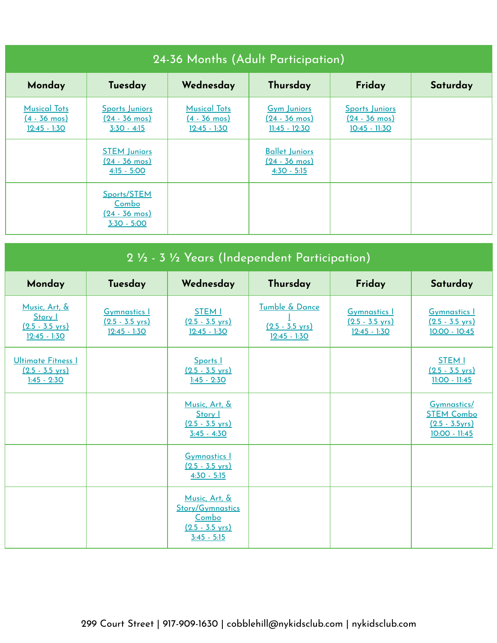| 24-36 Months (Adult Participation)                           |                                                                   |                                                                 |                                                                  |                                                                  |          |  |
|--------------------------------------------------------------|-------------------------------------------------------------------|-----------------------------------------------------------------|------------------------------------------------------------------|------------------------------------------------------------------|----------|--|
| Monday                                                       | Tuesday                                                           | Wednesday                                                       | Thursday                                                         | Friday                                                           | Saturday |  |
| <b>Musical Tots</b><br><u>(4 - 36 mos)</u><br>$12:45 - 1:30$ | <b>Sports Juniors</b><br>$(24 - 36 \text{ mos})$<br>$3:30 - 4:15$ | <b>Musical Tots</b><br>$(4 - 36 \text{ mos})$<br>$12:45 - 1:30$ | <b>Gym Juniors</b><br>$(24 - 36 \text{ mos})$<br>$11:45 - 12:30$ | <b>Sports Juniors</b><br><u>(24 - 36 mos)</u><br>$10:45 - 11:30$ |          |  |
|                                                              | <b>STEM Juniors</b><br>$(24 - 36 \text{ mos})$<br>$4:15 - 5:00$   |                                                                 | <b>Ballet Juniors</b><br><u>(24 - 36 mos)</u><br>$4:30 - 5:15$   |                                                                  |          |  |
|                                                              | Sports/STEM<br>Combo<br><u>(24 - 36 mos)</u><br>$3:30 - 5:00$     |                                                                 |                                                                  |                                                                  |          |  |

| 2 1/2 - 3 1/2 Years (Independent Participation)                         |                                                                    |                                                                                                 |                                                               |                                                                    |                                                                       |  |
|-------------------------------------------------------------------------|--------------------------------------------------------------------|-------------------------------------------------------------------------------------------------|---------------------------------------------------------------|--------------------------------------------------------------------|-----------------------------------------------------------------------|--|
| Monday                                                                  | Tuesday                                                            | Wednesday                                                                                       | Thursday                                                      | Friday                                                             | Saturday                                                              |  |
| Music, Art, &<br>Story I<br>$(2.5 - 3.5 \text{ yrs})$<br>$12:45 - 1:30$ | <b>Gymnastics I</b><br>$(2.5 - 3.5 \text{ yrs})$<br>$12:45 - 1:30$ | <b>STEM I</b><br>$(2.5 - 3.5 \text{ yrs})$<br>$12:45 - 1:30$                                    | Tumble & Dance<br>$(2.5 - 3.5 \text{ yrs})$<br>$12:45 - 1:30$ | <b>Gymnastics I</b><br>$(2.5 - 3.5 \text{ yrs})$<br>$12:45 - 1:30$ | <b>Gymnastics I</b><br>$(2.5 - 3.5 \text{ yrs})$<br>$10:00 - 10:45$   |  |
| <b>Ultimate Fitness I</b><br>$(2.5 - 3.5 \text{ vrs})$<br>$1:45 - 2:30$ |                                                                    | Sports I<br>$(2.5 - 3.5 \text{ vrs})$<br>$1:45 - 2:30$                                          |                                                               |                                                                    | <b>STEM I</b><br>$(2.5 - 3.5 \text{ vrs})$<br>11:00 - 11:45           |  |
|                                                                         |                                                                    | Music, Art, &<br>Story 1<br>$(2.5 - 3.5 \text{ vrs})$<br>$3:45 - 4:30$                          |                                                               |                                                                    | Gymnastics/<br><b>STEM Combo</b><br>$(2.5 - 3.5yrs)$<br>10:00 - 11:45 |  |
|                                                                         |                                                                    | <b>Gymnastics 1</b><br>$(2.5 - 3.5 \text{ vrs})$<br>$4:30 - 5:15$                               |                                                               |                                                                    |                                                                       |  |
|                                                                         |                                                                    | Music, Art, &<br><b>Story/Gymnastics</b><br>Combo<br>$(2.5 - 3.5 \text{ yrs})$<br>$3:45 - 5:15$ |                                                               |                                                                    |                                                                       |  |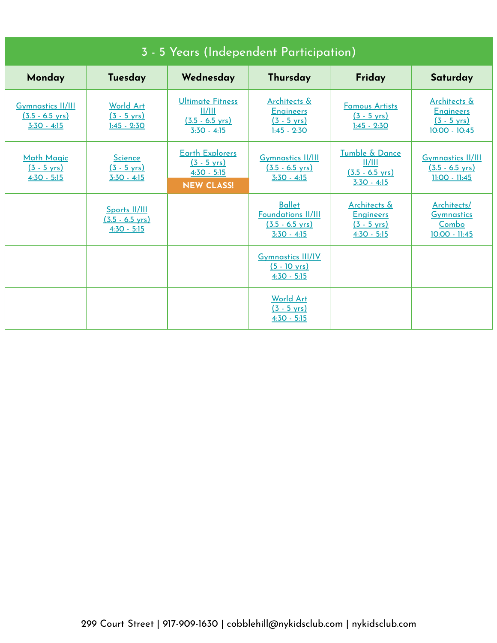| 3 - 5 Years (Independent Participation)                                |                                                             |                                                                                       |                                                                                          |                                                                                       |                                                                              |  |
|------------------------------------------------------------------------|-------------------------------------------------------------|---------------------------------------------------------------------------------------|------------------------------------------------------------------------------------------|---------------------------------------------------------------------------------------|------------------------------------------------------------------------------|--|
| Monday                                                                 | Tuesday                                                     | Wednesday                                                                             | Thursday                                                                                 | Friday                                                                                | Saturday                                                                     |  |
| <b>Gymnastics II/III</b><br>$(3.5 - 6.5 \text{ yrs})$<br>$3:30 - 4:15$ | World Art<br>$(3 - 5 \text{ yrs})$<br>$1:45 - 2:30$         | <b>Ultimate Fitness</b><br>  /   <br>$(3.5 - 6.5 \text{ yrs})$<br>$3:30 - 4:15$       | Architects &<br><b>Engineers</b><br>$(3 - 5 \text{ yrs})$<br>$1:45 - 2:30$               | <b>Famous Artists</b><br>$(3 - 5 \text{ yrs})$<br>$1:45 - 2:30$                       | Architects &<br><b>Engineers</b><br>$(3 - 5 \text{ yrs})$<br>$10:00 - 10:45$ |  |
| <b>Math Magic</b><br>$(3 - 5 \text{ yrs})$<br>$4:30 - 5:15$            | <b>Science</b><br>$(3 - 5 \text{ yrs})$<br>$3:30 - 4:15$    | <b>Earth Explorers</b><br>$(3 - 5 \text{ yrs})$<br>$4:30 - 5:15$<br><b>NEW CLASS!</b> | <b>Gymnastics II/III</b><br>$(3.5 - 6.5 \text{ yrs})$<br>$3:30 - 4:15$                   | Tumble & Dance<br>  /   <br>$(3.5 - 6.5 \text{ yrs})$<br>$3:30 - 4:15$                | <b>Gymnastics II/III</b><br>$(3.5 - 6.5 \text{ yrs})$<br>$11:00 - 11:45$     |  |
|                                                                        | Sports II/III<br>$(3.5 - 6.5 \text{ yrs})$<br>$4:30 - 5:15$ |                                                                                       | <b>Ballet</b><br><b>Foundations II/III</b><br>$(3.5 - 6.5 \text{ vrs})$<br>$3:30 - 4:15$ | <b>Architects &amp;</b><br><b>Engineers</b><br>$(3 - 5 \text{ yrs})$<br>$4:30 - 5:15$ | Architects/<br><b>Gymnastics</b><br>Combo<br>10:00 - 11:45                   |  |
|                                                                        |                                                             |                                                                                       | <b>Gymnastics III/IV</b><br>$(5 - 10 \text{ yrs})$<br>$4:30 - 5:15$                      |                                                                                       |                                                                              |  |
|                                                                        |                                                             |                                                                                       | <b>World Art</b><br>$(3 - 5 \text{ yrs})$<br>$4:30 - 5:15$                               |                                                                                       |                                                                              |  |